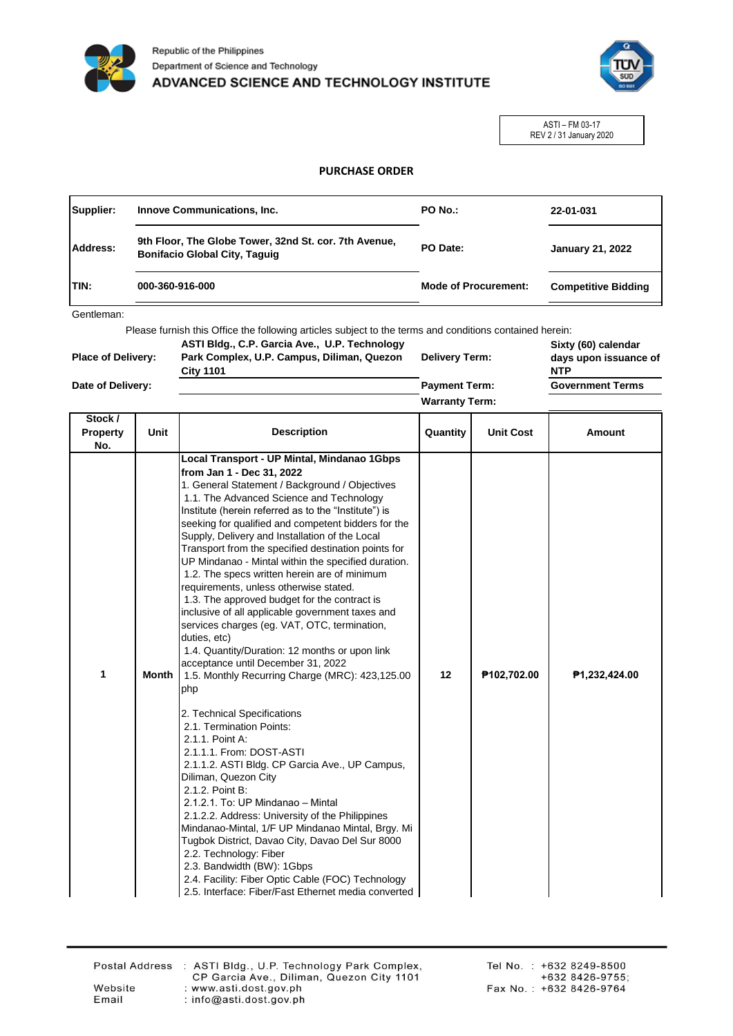



ASTI – FM 03-17 REV 2 / 31 January 2020

## **PURCHASE ORDER**

| Supplier: | <b>Innove Communications, Inc.</b>                                                            | PO No.:                     | 22-01-031                  |  |
|-----------|-----------------------------------------------------------------------------------------------|-----------------------------|----------------------------|--|
| Address:  | 9th Floor, The Globe Tower, 32nd St. cor. 7th Avenue,<br><b>Bonifacio Global City, Taquiq</b> | PO Date:                    | <b>January 21, 2022</b>    |  |
| ITIN:     | 000-360-916-000                                                                               | <b>Mode of Procurement:</b> | <b>Competitive Bidding</b> |  |

Gentleman:

Please furnish this Office the following articles subject to the terms and conditions contained herein:

| <b>Place of Delivery:</b> | ASTI Bldg., C.P. Garcia Ave., U.P. Technology<br>Park Complex, U.P. Campus, Diliman, Quezon<br><b>City 1101</b> | <b>Delivery Term:</b> | Sixty (60) calendar<br>days upon issuance of<br><b>NTP</b> |
|---------------------------|-----------------------------------------------------------------------------------------------------------------|-----------------------|------------------------------------------------------------|
| Date of Delivery:         |                                                                                                                 | <b>Payment Term:</b>  | <b>Government Terms</b>                                    |
|                           |                                                                                                                 | <b>Warranty Term:</b> |                                                            |

| Stock /<br><b>Property</b><br>No. | Unit  | <b>Description</b>                                                                                                                                                                                                                                                                                                                                                                                                                                                                                                                                                                                                                                                                                                                                                                                                                                                                                                                                                                                                                                                                                                                                                                                                                                                                                                                                                                                                                               | Quantity | <b>Unit Cost</b> | Amount        |
|-----------------------------------|-------|--------------------------------------------------------------------------------------------------------------------------------------------------------------------------------------------------------------------------------------------------------------------------------------------------------------------------------------------------------------------------------------------------------------------------------------------------------------------------------------------------------------------------------------------------------------------------------------------------------------------------------------------------------------------------------------------------------------------------------------------------------------------------------------------------------------------------------------------------------------------------------------------------------------------------------------------------------------------------------------------------------------------------------------------------------------------------------------------------------------------------------------------------------------------------------------------------------------------------------------------------------------------------------------------------------------------------------------------------------------------------------------------------------------------------------------------------|----------|------------------|---------------|
| 1                                 | Month | Local Transport - UP Mintal, Mindanao 1Gbps<br>from Jan 1 - Dec 31, 2022<br>1. General Statement / Background / Objectives<br>1.1. The Advanced Science and Technology<br>Institute (herein referred as to the "Institute") is<br>seeking for qualified and competent bidders for the<br>Supply, Delivery and Installation of the Local<br>Transport from the specified destination points for<br>UP Mindanao - Mintal within the specified duration.<br>1.2. The specs written herein are of minimum<br>requirements, unless otherwise stated.<br>1.3. The approved budget for the contract is<br>inclusive of all applicable government taxes and<br>services charges (eg. VAT, OTC, termination,<br>duties, etc)<br>1.4. Quantity/Duration: 12 months or upon link<br>acceptance until December 31, 2022<br>1.5. Monthly Recurring Charge (MRC): 423,125.00<br>php<br>2. Technical Specifications<br>2.1. Termination Points:<br>2.1.1. Point A:<br>2.1.1.1. From: DOST-ASTI<br>2.1.1.2. ASTI Bldg. CP Garcia Ave., UP Campus,<br>Diliman, Quezon City<br>2.1.2. Point B:<br>2.1.2.1. To: UP Mindanao - Mintal<br>2.1.2.2. Address: University of the Philippines<br>Mindanao-Mintal, 1/F UP Mindanao Mintal, Brgy. Mi<br>Tugbok District, Davao City, Davao Del Sur 8000<br>2.2. Technology: Fiber<br>2.3. Bandwidth (BW): 1Gbps<br>2.4. Facility: Fiber Optic Cable (FOC) Technology<br>2.5. Interface: Fiber/Fast Ethernet media converted | 12       | P102,702.00      | P1,232,424.00 |

Email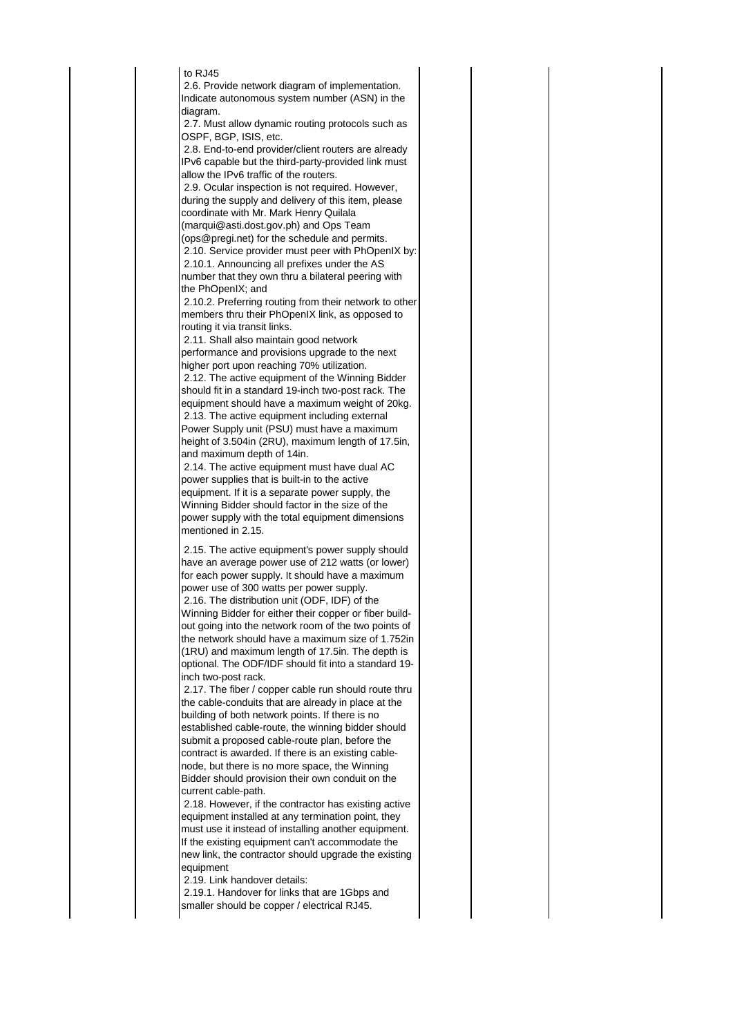to  $R.145$ 

 2.6. Provide network diagram of implementation. Indicate autonomous system number (ASN) in the diagram.

 2.7. Must allow dynamic routing protocols such as OSPF, BGP, ISIS, etc.

 2.8. End-to-end provider/client routers are already IPv6 capable but the third-party-provided link must allow the IPv6 traffic of the routers.

 2.9. Ocular inspection is not required. However, during the supply and delivery of this item, please coordinate with Mr. Mark Henry Quilala (marqui@asti.dost.gov.ph) and Ops Team

(ops@pregi.net) for the schedule and permits.

 2.10. Service provider must peer with PhOpenIX by: 2.10.1. Announcing all prefixes under the AS number that they own thru a bilateral peering with the PhOpenIX; and

 2.10.2. Preferring routing from their network to other members thru their PhOpenIX link, as opposed to routing it via transit links.

 2.11. Shall also maintain good network performance and provisions upgrade to the next higher port upon reaching 70% utilization.

 2.12. The active equipment of the Winning Bidder should fit in a standard 19-inch two-post rack. The equipment should have a maximum weight of 20kg. 2.13. The active equipment including external Power Supply unit (PSU) must have a maximum height of 3.504in (2RU), maximum length of 17.5in, and maximum depth of 14in.

 2.14. The active equipment must have dual AC power supplies that is built-in to the active equipment. If it is a separate power supply, the Winning Bidder should factor in the size of the power supply with the total equipment dimensions mentioned in 2.15.

 2.15. The active equipment's power supply should have an average power use of 212 watts (or lower) for each power supply. It should have a maximum power use of 300 watts per power supply. 2.16. The distribution unit (ODF, IDF) of the Winning Bidder for either their copper or fiber buildout going into the network room of the two points of the network should have a maximum size of 1.752in (1RU) and maximum length of 17.5in. The depth is optional. The ODF/IDF should fit into a standard 19 inch two-post rack.

 2.17. The fiber / copper cable run should route thru the cable-conduits that are already in place at the building of both network points. If there is no established cable-route, the winning bidder should submit a proposed cable-route plan, before the contract is awarded. If there is an existing cablenode, but there is no more space, the Winning Bidder should provision their own conduit on the current cable-path.

 2.18. However, if the contractor has existing active equipment installed at any termination point, they must use it instead of installing another equipment. If the existing equipment can't accommodate the new link, the contractor should upgrade the existing equipment

2.19. Link handover details:

 2.19.1. Handover for links that are 1Gbps and smaller should be copper / electrical RJ45.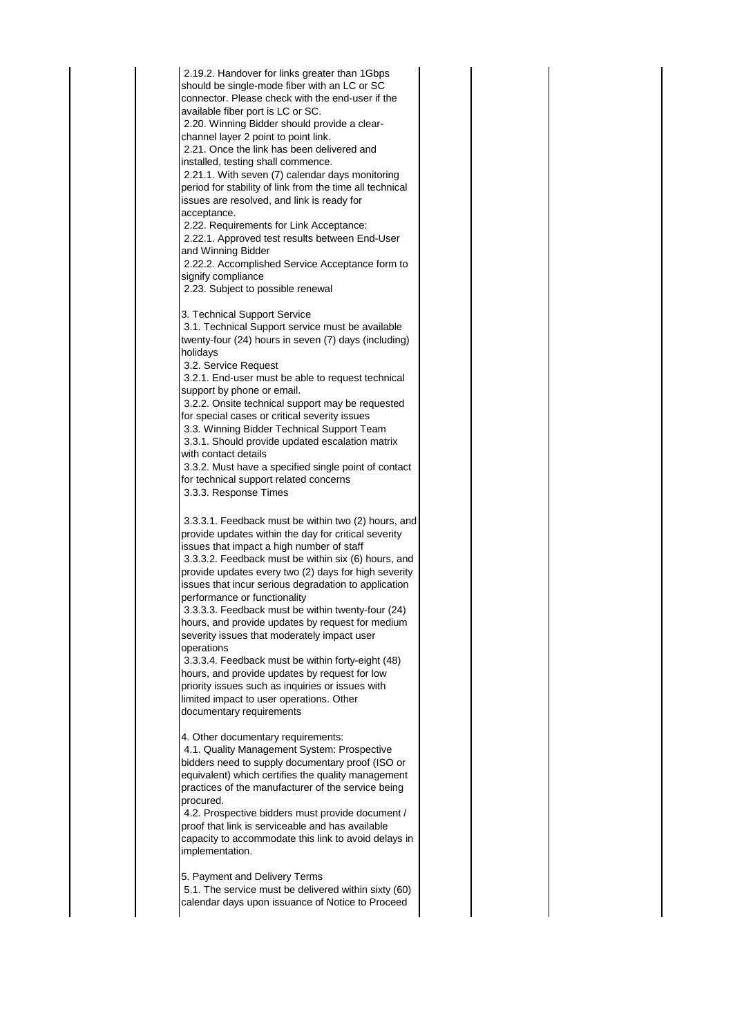2.19.2. Handover for links greater than 1Gbps should be single-mode fiber with an LC or SC connector. Please check with the end-user if the available fiber port is LC or SC. 2.20. Winning Bidder should provide a clearchannel layer 2 point to point link. 2.21. Once the link has been delivered and installed, testing shall commence. 2.21.1. With seven (7) calendar days monitoring period for stability of link from the time all technical issues are resolved, and link is ready for acceptance. 2.22. Requirements for Link Acceptance: 2.22.1. Approved test results between End-User and Winning Bidder 2.22.2. Accomplished Service Acceptance form to signify compliance 2.23. Subject to possible renewal 3. Technical Support Service 3.1. Technical Support service must be available twenty-four (24) hours in seven (7) days (including) holidays 3.2. Service Request 3.2.1. End-user must be able to request technical support by phone or email. 3.2.2. Onsite technical support may be requested for special cases or critical severity issues 3.3. Winning Bidder Technical Support Team 3.3.1. Should provide updated escalation matrix with contact details 3.3.2. Must have a specified single point of contact for technical support related concerns 3.3.3. Response Times 3.3.3.1. Feedback must be within two (2) hours, and provide updates within the day for critical severity issues that impact a high number of staff 3.3.3.2. Feedback must be within six (6) hours, and provide updates every two (2) days for high severity issues that incur serious degradation to application performance or functionality 3.3.3.3. Feedback must be within twenty-four (24) hours, and provide updates by request for medium severity issues that moderately impact user operations 3.3.3.4. Feedback must be within forty-eight (48) hours, and provide updates by request for low priority issues such as inquiries or issues with limited impact to user operations. Other documentary requirements 4. Other documentary requirements: 4.1. Quality Management System: Prospective bidders need to supply documentary proof (ISO or equivalent) which certifies the quality management practices of the manufacturer of the service being procured. 4.2. Prospective bidders must provide document / proof that link is serviceable and has available capacity to accommodate this link to avoid delays in implementation.

5. Payment and Delivery Terms

 5.1. The service must be delivered within sixty (60) calendar days upon issuance of Notice to Proceed